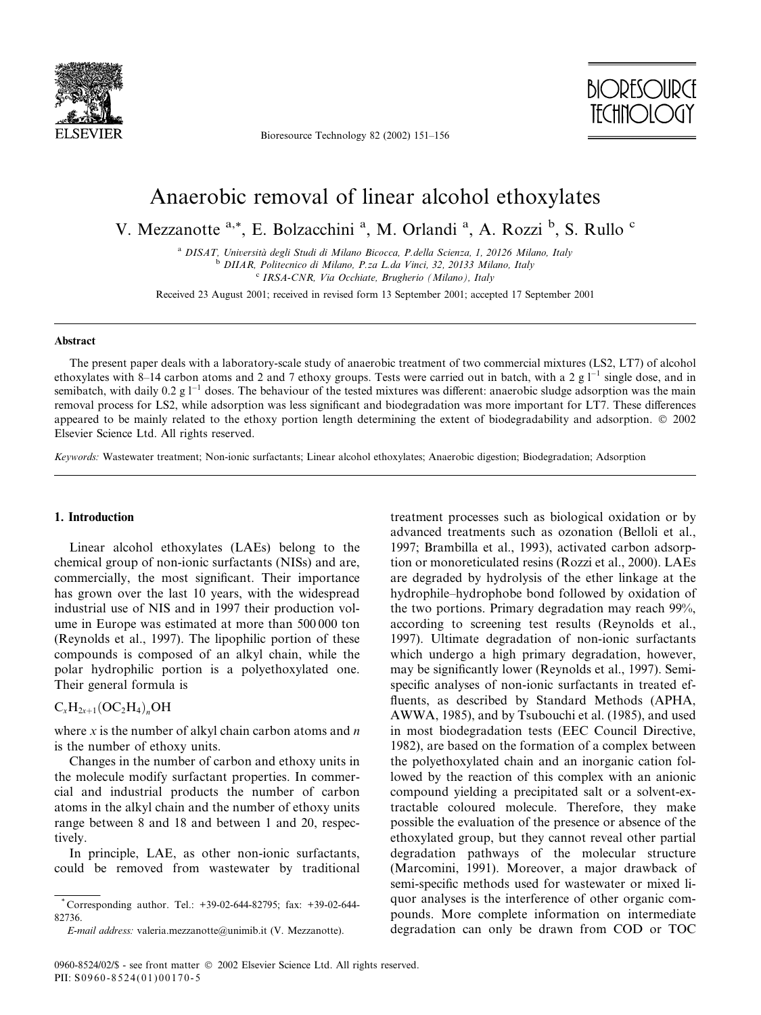

Bioresource Technology 82 (2002) 151-156



# Anaerobic removal of linear alcohol ethoxylates

V. Mezzanotte a,\*, E. Bolzacchini <sup>a</sup>, M. Orlandi <sup>a</sup>, A. Rozzi <sup>b</sup>, S. Rullo <sup>c</sup>

<sup>a</sup> DISAT, Università degli Studi di Milano Bicocca, P.della Scienza, 1, 20126 Milano, Italy <sup>b</sup> DIIAR, Politecnico di Milano, P.za L.da Vinci, 32, 20133 Milano, Italy <sup>c</sup> IRSA-CNR, Via Occhiate, Brugherio (Milano), Italy

Received 23 August 2001; received in revised form 13 September 2001; accepted 17 September 2001

#### **Abstract**

The present paper deals with a laboratory-scale study of anaerobic treatment of two commercial mixtures (LS2, LT7) of alcohol ethoxylates with 8–14 carbon atoms and 2 and 7 ethoxy groups. Tests were carried out in batch, with a 2 g  $1^{-1}$  single dose, and in semibatch, with daily 0.2 g  $1^{-1}$  doses. The behaviour of the tested mixtures was different: anaerobic sludge adsorption was the main removal process for LS2, while adsorption was less significant and biodegradation was more important for LT7. These differences appeared to be mainly related to the ethoxy portion length determining the extent of biodegradability and adsorption.  $\circ$  2002 Elsevier Science Ltd. All rights reserved.

Keywords: Wastewater treatment: Non-ionic surfactants: Linear alcohol ethoxylates: Anaerobic digestion: Biodegradation: Adsorption

#### 1. Introduction

Linear alcohol ethoxylates (LAEs) belong to the chemical group of non-ionic surfactants (NISs) and are, commercially, the most significant. Their importance has grown over the last 10 years, with the widespread industrial use of NIS and in 1997 their production volume in Europe was estimated at more than 500 000 ton (Reynolds et al., 1997). The lipophilic portion of these compounds is composed of an alkyl chain, while the polar hydrophilic portion is a polyethoxylated one. Their general formula is

### $C_xH_{2x+1}(OC_2H_4)_nOH$

where x is the number of alkyl chain carbon atoms and  $n$ is the number of ethoxy units.

Changes in the number of carbon and ethoxy units in the molecule modify surfactant properties. In commercial and industrial products the number of carbon atoms in the alkyl chain and the number of ethoxy units range between 8 and 18 and between 1 and 20, respectively.

In principle, LAE, as other non-ionic surfactants, could be removed from wastewater by traditional treatment processes such as biological oxidation or by advanced treatments such as ozonation (Belloli et al., 1997; Brambilla et al., 1993), activated carbon adsorption or monoreticulated resins (Rozzi et al., 2000). LAEs are degraded by hydrolysis of the ether linkage at the hydrophile-hydrophobe bond followed by oxidation of the two portions. Primary degradation may reach 99%, according to screening test results (Reynolds et al., 1997). Ultimate degradation of non-ionic surfactants which undergo a high primary degradation, however, may be significantly lower (Reynolds et al., 1997). Semispecific analyses of non-ionic surfactants in treated effluents, as described by Standard Methods (APHA, AWWA, 1985), and by Tsubouchi et al. (1985), and used in most biodegradation tests (EEC Council Directive, 1982), are based on the formation of a complex between the polyethoxylated chain and an inorganic cation followed by the reaction of this complex with an anionic compound yielding a precipitated salt or a solvent-extractable coloured molecule. Therefore, they make possible the evaluation of the presence or absence of the ethoxylated group, but they cannot reveal other partial degradation pathways of the molecular structure (Marcomini, 1991). Moreover, a major drawback of semi-specific methods used for wastewater or mixed liquor analyses is the interference of other organic compounds. More complete information on intermediate degradation can only be drawn from COD or TOC

<sup>\*</sup>Corresponding author. Tel.:  $+39-02-644-82795$ ; fax:  $+39-02-644-$ 82736.

E-mail address: valeria.mezzanotte@unimib.it (V. Mezzanotte).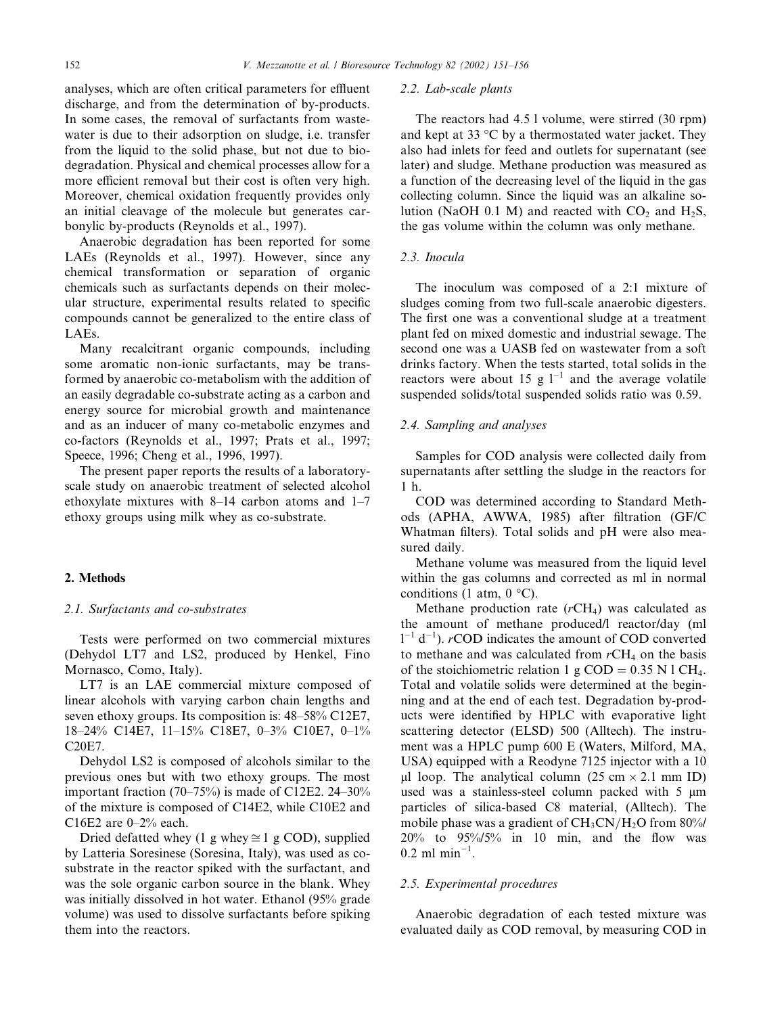analyses, which are often critical parameters for effluent discharge, and from the determination of by-products. In some cases, the removal of surfactants from wastewater is due to their adsorption on sludge, *i.e.* transfer from the liquid to the solid phase, but not due to biodegradation. Physical and chemical processes allow for a more efficient removal but their cost is often very high. Moreover, chemical oxidation frequently provides only an initial cleavage of the molecule but generates carbonylic by-products (Reynolds et al., 1997).

Anaerobic degradation has been reported for some LAEs (Reynolds et al., 1997). However, since any chemical transformation or separation of organic chemicals such as surfactants depends on their molecular structure, experimental results related to specific compounds cannot be generalized to the entire class of LAEs.

Many recalcitrant organic compounds, including some aromatic non-ionic surfactants, may be transformed by anaerobic co-metabolism with the addition of an easily degradable co-substrate acting as a carbon and energy source for microbial growth and maintenance and as an inducer of many co-metabolic enzymes and co-factors (Reynolds et al., 1997; Prats et al., 1997; Speece, 1996; Cheng et al., 1996, 1997).

The present paper reports the results of a laboratoryscale study on anaerobic treatment of selected alcohol ethoxylate mixtures with 8-14 carbon atoms and 1-7 ethoxy groups using milk whey as co-substrate.

#### 2. Methods

#### 2.1. Surfactants and co-substrates

Tests were performed on two commercial mixtures (Dehydol LT7 and LS2, produced by Henkel, Fino Mornasco, Como, Italy).

LT7 is an LAE commercial mixture composed of linear alcohols with varying carbon chain lengths and seven ethoxy groups. Its composition is: 48–58% C12E7. 18-24% C14E7, 11-15% C18E7, 0-3% C10E7, 0-1% C20E7.

Dehydol LS2 is composed of alcohols similar to the previous ones but with two ethoxy groups. The most important fraction  $(70-75%)$  is made of C12E2. 24-30% of the mixture is composed of C14E2, while C10E2 and C16E2 are  $0-2%$  each.

Dried defatted whey (1 g whey  $\cong$  1 g COD), supplied by Latteria Soresinese (Soresina, Italy), was used as cosubstrate in the reactor spiked with the surfactant, and was the sole organic carbon source in the blank. Whey was initially dissolved in hot water. Ethanol (95% grade volume) was used to dissolve surfactants before spiking them into the reactors.

#### 2.2. Lab-scale plants

The reactors had 4.5 l volume, were stirred (30 rpm) and kept at 33 °C by a thermostated water jacket. They also had inlets for feed and outlets for supernatant (see later) and sludge. Methane production was measured as a function of the decreasing level of the liquid in the gas collecting column. Since the liquid was an alkaline solution (NaOH 0.1 M) and reacted with  $CO_2$  and  $H_2S$ , the gas volume within the column was only methane.

# 2.3. Inocula

The inoculum was composed of a 2:1 mixture of sludges coming from two full-scale anaerobic digesters. The first one was a conventional sludge at a treatment plant fed on mixed domestic and industrial sewage. The second one was a UASB fed on wastewater from a soft drinks factory. When the tests started, total solids in the reactors were about 15 g  $1^{-1}$  and the average volatile suspended solids/total suspended solids ratio was 0.59.

#### 2.4. Sampling and analyses

Samples for COD analysis were collected daily from supernatants after settling the sludge in the reactors for  $1<sub>h</sub>$ .

COD was determined according to Standard Methods (APHA, AWWA, 1985) after filtration (GF/C Whatman filters). Total solids and pH were also measured daily.

Methane volume was measured from the liquid level within the gas columns and corrected as ml in normal conditions (1 atm,  $0^{\circ}$ C).

Methane production rate  $(rCH<sub>4</sub>)$  was calculated as the amount of methane produced/l reactor/day (ml  $1^{-1}$  d<sup>-1</sup>). *r*COD indicates the amount of COD converted to methane and was calculated from  $rCH_4$  on the basis of the stoichiometric relation 1 g COD = 0.35 N 1 CH<sub>4</sub>. Total and volatile solids were determined at the beginning and at the end of each test. Degradation by-products were identified by HPLC with evaporative light scattering detector (ELSD) 500 (Alltech). The instrument was a HPLC pump 600 E (Waters, Milford, MA, USA) equipped with a Reodyne 7125 injector with a 10 µl loop. The analytical column  $(25 \text{ cm} \times 2.1 \text{ mm ID})$ used was a stainless-steel column packed with 5 µm particles of silica-based C8 material, (Alltech). The mobile phase was a gradient of  $CH_3CN/H_2O$  from 80%/  $20\%$  to  $95\%/5\%$  in 10 min, and the flow was  $0.2$  ml min<sup>-1</sup>.

#### 2.5. Experimental procedures

Anaerobic degradation of each tested mixture was evaluated daily as COD removal, by measuring COD in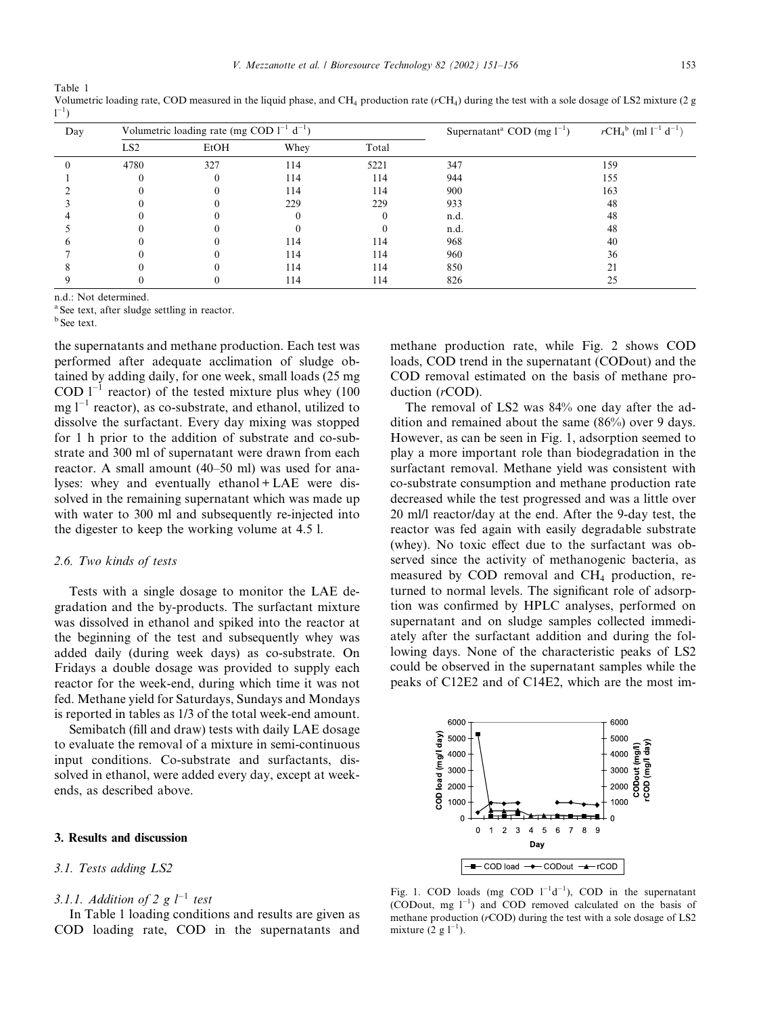| ×<br>۰, | I<br>$\sim$ |
|---------|-------------|
|         |             |

| Day | Volumetric loading rate (mg COD $1^{-1}$ d <sup>-1</sup> ) |      |      |          | Supernatant <sup>a</sup> COD (mg $1^{-1}$ ) | $rCH_4^b$ (ml $1^{-1}$ d <sup>-1</sup> ) |
|-----|------------------------------------------------------------|------|------|----------|---------------------------------------------|------------------------------------------|
|     | LS <sub>2</sub>                                            | EtOH | Whey | Total    |                                             |                                          |
|     | 4780                                                       | 327  | 114  | 5221     | 347                                         | 159                                      |
|     |                                                            |      | 114  | 114      | 944                                         | 155                                      |
|     |                                                            |      | 114  | 114      | 900                                         | 163                                      |
|     |                                                            |      | 229  | 229      | 933                                         | 48                                       |
|     |                                                            |      |      | $^{(1)}$ | n.d.                                        | 48                                       |
|     |                                                            |      |      |          | n.d.                                        | 48                                       |
|     |                                                            |      | 114  | 114      | 968                                         | 40                                       |
|     |                                                            |      | 114  | 114      | 960                                         | 36                                       |
|     |                                                            |      | 114  | 114      | 850                                         |                                          |
|     |                                                            |      | 114  | 114      | 826                                         | 25                                       |

Volumetric loading rate, COD measured in the liquid phase, and CH<sub>4</sub> production rate ( $rCH<sub>4</sub>$ ) during the test with a sole dosage of LS2 mixture (2 g  $1^{-1}$ 

n.d.: Not determined.

<sup>a</sup> See text, after sludge settling in reactor.

 $<sup>b</sup>$  See text.</sup>

Table 1

the supernatants and methane production. Each test was performed after adequate acclimation of sludge obtained by adding daily, for one week, small loads (25 mg) COD  $1^{-1}$  reactor) of the tested mixture plus whey (100  $mg l^{-1}$  reactor), as co-substrate, and ethanol, utilized to dissolve the surfactant. Every day mixing was stopped for 1 h prior to the addition of substrate and co-substrate and 300 ml of supernatant were drawn from each reactor. A small amount (40–50 ml) was used for analyses: whey and eventually ethanol + LAE were dissolved in the remaining supernatant which was made up with water to 300 ml and subsequently re-injected into the digester to keep the working volume at 4.5 l.

#### 2.6. Two kinds of tests

Tests with a single dosage to monitor the LAE degradation and the by-products. The surfactant mixture was dissolved in ethanol and spiked into the reactor at the beginning of the test and subsequently whey was added daily (during week days) as co-substrate. On Fridays a double dosage was provided to supply each reactor for the week-end, during which time it was not fed. Methane yield for Saturdays, Sundays and Mondays is reported in tables as 1/3 of the total week-end amount.

Semibatch (fill and draw) tests with daily LAE dosage to evaluate the removal of a mixture in semi-continuous input conditions. Co-substrate and surfactants, dissolved in ethanol, were added every day, except at weekends, as described above.

#### 3. Results and discussion

#### 3.1. Tests adding LS2

# 3.1.1. Addition of 2 g  $l^{-1}$  test

In Table 1 loading conditions and results are given as COD loading rate, COD in the supernatants and

methane production rate, while Fig. 2 shows COD loads, COD trend in the supernatant (CODout) and the COD removal estimated on the basis of methane production  $(rCOD)$ .

The removal of LS2 was 84% one day after the addition and remained about the same  $(86\%)$  over 9 days. However, as can be seen in Fig. 1, adsorption seemed to play a more important role than biodegradation in the surfactant removal. Methane yield was consistent with co-substrate consumption and methane production rate decreased while the test progressed and was a little over 20 ml/l reactor/day at the end. After the 9-day test, the reactor was fed again with easily degradable substrate (whey). No toxic effect due to the surfactant was observed since the activity of methanogenic bacteria, as measured by COD removal and CH<sub>4</sub> production, returned to normal levels. The significant role of adsorption was confirmed by HPLC analyses, performed on supernatant and on sludge samples collected immediately after the surfactant addition and during the following days. None of the characteristic peaks of LS2 could be observed in the supernatant samples while the peaks of C12E2 and of C14E2, which are the most im-



Fig. 1. COD loads (mg COD  $1^{-1}d^{-1}$ ), COD in the supernatant (CODout, mg l<sup>-1</sup>) and COD removed calculated on the basis of methane production  $(r\text{COD})$  during the test with a sole dosage of LS2 mixture  $(2 g 1^{-1})$ .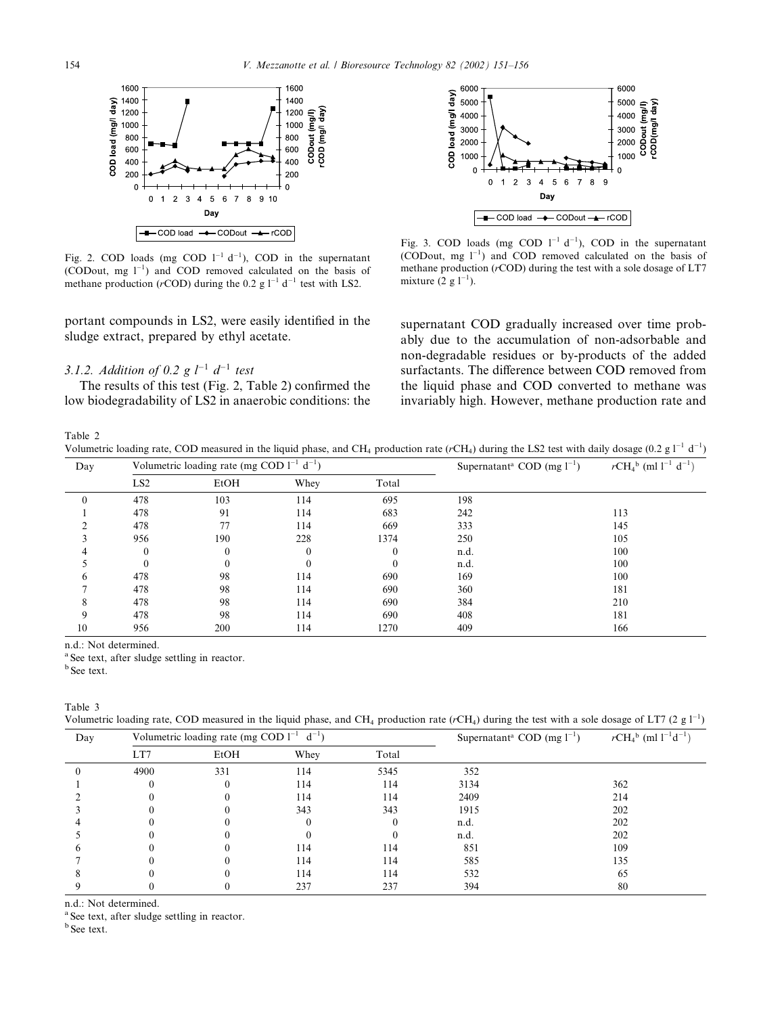

Fig. 2. COD loads (mg COD  $1^{-1}$  d<sup>-1</sup>), COD in the supernatant (CODout, mg  $1^{-1}$ ) and COD removed calculated on the basis of methane production (rCOD) during the 0.2 g  $1^{-1}$  d<sup>-1</sup> test with LS2.

portant compounds in LS2, were easily identified in the sludge extract, prepared by ethyl acetate.

# 3.1.2. Addition of 0.2 g  $l^{-1}$   $d^{-1}$  test

The results of this test (Fig. 2, Table 2) confirmed the low biodegradability of LS2 in anaerobic conditions: the



Fig. 3. COD loads (mg COD  $1^{-1}$  d<sup>-1</sup>), COD in the supernatant (CODout, mg  $1^{-1}$ ) and COD removed calculated on the basis of methane production  $(r\text{COD})$  during the test with a sole dosage of LT7 mixture  $(2 g 1^{-1})$ .

supernatant COD gradually increased over time probably due to the accumulation of non-adsorbable and non-degradable residues or by-products of the added surfactants. The difference between COD removed from the liquid phase and COD converted to methane was invariably high. However, methane production rate and

Table 2

Volumetric loading rate, COD measured in the liquid phase, and CH<sub>4</sub> production rate ( $rCH_4$ ) during the LS2 test with daily dosage (0.2 g  $1^{-1}$  d<sup>-1</sup>)

| Day | Volumetric loading rate (mg COD $1^{-1}$ d <sup>-1</sup> ) |          |          | Supernatant <sup>a</sup> COD (mg $1^{-1}$ ) | $rCH_4^b$ (ml $1^{-1}$ d <sup>-1</sup> ) |     |
|-----|------------------------------------------------------------|----------|----------|---------------------------------------------|------------------------------------------|-----|
|     | LS <sub>2</sub>                                            | EtOH     | Whey     | Total                                       |                                          |     |
|     | 478                                                        | 103      | 114      | 695                                         | 198                                      |     |
|     | 478                                                        | 91       | 114      | 683                                         | 242                                      | 113 |
|     | 478                                                        | 77       | 114      | 669                                         | 333                                      | 145 |
|     | 956                                                        | 190      | 228      | 1374                                        | 250                                      | 105 |
|     | $\theta$                                                   | $\theta$ | $\bf{0}$ | $\boldsymbol{0}$                            | n.d.                                     | 100 |
|     | $\Omega$                                                   | $\theta$ | $\theta$ | $\theta$                                    | n.d.                                     | 100 |
| 6   | 478                                                        | 98       | 114      | 690                                         | 169                                      | 100 |
|     | 478                                                        | 98       | 114      | 690                                         | 360                                      | 181 |
| 8   | 478                                                        | 98       | 114      | 690                                         | 384                                      | 210 |
| 9   | 478                                                        | 98       | 114      | 690                                         | 408                                      | 181 |
| 10  | 956                                                        | 200      | 114      | 1270                                        | 409                                      | 166 |

n.d.: Not determined.

<sup>a</sup> See text, after sludge settling in reactor.

<sup>b</sup> See text.

Table 3

Volumetric loading rate, COD measured in the liquid phase, and CH<sub>4</sub> production rate ( $rCH<sub>4</sub>$ ) during the test with a sole dosage of LT7 (2 g  $1^{-1}$ )

| Day | Volumetric loading rate (mg COD $l^{-1}$ d <sup>-1</sup> ) |          |      | Supernatant <sup>a</sup> COD (mg $1^{-1}$ ) | $rCH_4^b$ (ml $1^{-1}d^{-1}$ ) |     |
|-----|------------------------------------------------------------|----------|------|---------------------------------------------|--------------------------------|-----|
|     | LT7                                                        | EtOH     | Whey | Total                                       |                                |     |
|     | 4900                                                       | 331      | 114  | 5345                                        | 352                            |     |
|     |                                                            | $\theta$ | 114  | 114                                         | 3134                           | 362 |
|     |                                                            |          | 114  | 114                                         | 2409                           | 214 |
|     |                                                            |          | 343  | 343                                         | 1915                           | 202 |
|     |                                                            |          | 0    |                                             | n.d.                           | 202 |
|     |                                                            |          |      |                                             | n.d.                           | 202 |
|     |                                                            |          | 114  | 114                                         | 851                            | 109 |
|     |                                                            |          | 114  | 114                                         | 585                            | 135 |
|     |                                                            |          | 114  | 114                                         | 532                            | 65  |
|     |                                                            |          | 237  | 237                                         | 394                            | 80  |
|     |                                                            |          |      |                                             |                                |     |

n.d.: Not determined.

<sup>a</sup> See text, after sludge settling in reactor.

<sup>b</sup> See text.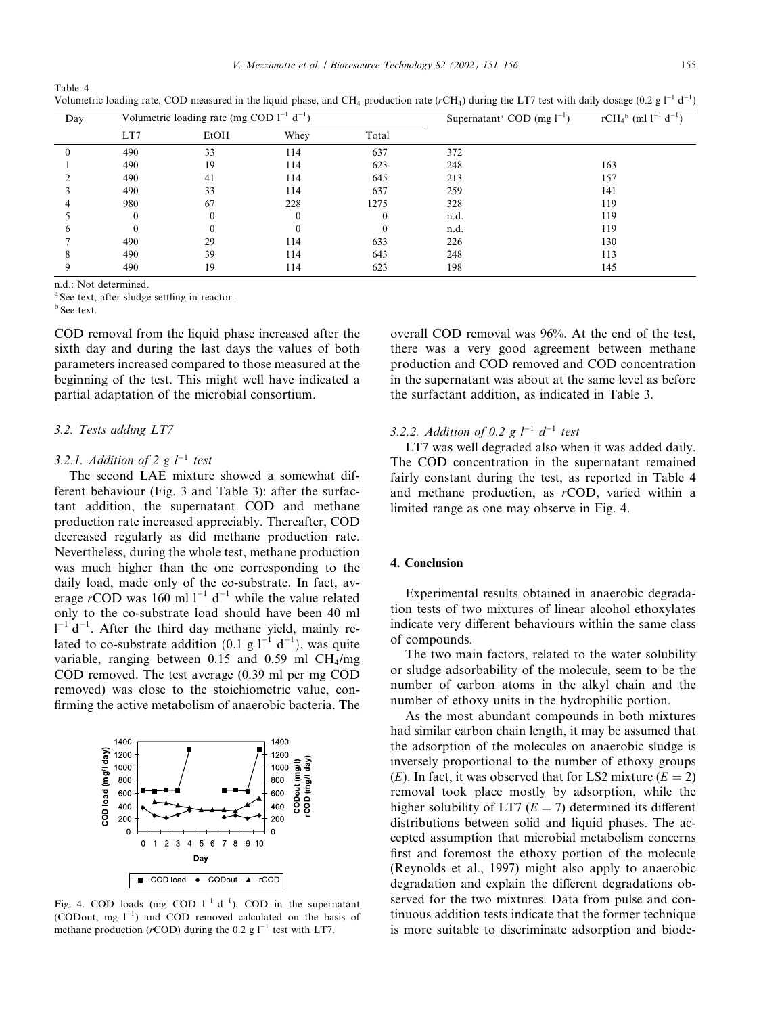| ×            | ×           |
|--------------|-------------|
| ۰,<br>$\sim$ | I<br>$\sim$ |

| Day | Volumetric loading rate (mg COD $1^{-1}$ d <sup>-1</sup> ) |          |      | Supernatant <sup>a</sup> COD (mg $1^{-1}$ ) | $rCH_4^b$ (ml $l^{-1}$ d <sup>-1</sup> ) |     |
|-----|------------------------------------------------------------|----------|------|---------------------------------------------|------------------------------------------|-----|
|     | LT7                                                        | EtOH     | Whey | Total                                       |                                          |     |
|     | 490                                                        | 33       | 114  | 637                                         | 372                                      |     |
|     | 490                                                        | 19       | 114  | 623                                         | 248                                      | 163 |
|     | 490                                                        | 41       | 114  | 645                                         | 213                                      | 157 |
|     | 490                                                        | 33       | 114  | 637                                         | 259                                      | 141 |
|     | 980                                                        | 67       | 228  | 1275                                        | 328                                      | 119 |
|     |                                                            |          |      |                                             | n.d.                                     | 119 |
| h   |                                                            | $\Omega$ |      | 0                                           | n.d.                                     | 119 |
|     | 490                                                        | 29       | 114  | 633                                         | 226                                      | 130 |
|     | 490                                                        | 39       | 114  | 643                                         | 248                                      | 113 |
|     | 490                                                        | 19       | 114  | 623                                         | 198                                      | 145 |

Volumetric loading rate, COD measured in the liquid phase, and CH<sub>4</sub> production rate ( $rCH<sub>4</sub>$ ) during the LT7 test with daily dosage (0.2 g  $1^{-1}$  d<sup>-1</sup>)

n.d.: Not determined.

<sup>a</sup> See text, after sludge settling in reactor.

 $<sup>b</sup>$  See text.</sup>

Table 4

COD removal from the liquid phase increased after the sixth day and during the last days the values of both parameters increased compared to those measured at the beginning of the test. This might well have indicated a partial adaptation of the microbial consortium.

#### 3.2. Tests adding LT7

## 3.2.1. Addition of 2 g  $l^{-1}$  test

The second LAE mixture showed a somewhat different behaviour (Fig. 3 and Table 3): after the surfactant addition, the supernatant COD and methane production rate increased appreciably. Thereafter, COD decreased regularly as did methane production rate. Nevertheless, during the whole test, methane production was much higher than the one corresponding to the daily load, made only of the co-substrate. In fact, average rCOD was 160 ml  $1^{-1}$  d<sup>-1</sup> while the value related only to the co-substrate load should have been 40 ml  $1^{-1}$  d<sup>-1</sup>. After the third day methane vield, mainly related to co-substrate addition (0.1 g  $1^{-1} d^{-1}$ ), was quite variable, ranging between 0.15 and 0.59 ml  $CH<sub>4</sub>/mg$ COD removed. The test average (0.39 ml per mg COD removed) was close to the stoichiometric value, confirming the active metabolism of anaerobic bacteria. The



Fig. 4. COD loads (mg COD  $1^{-1}$  d<sup>-1</sup>). COD in the supernatant (CODout, mg  $1^{-1}$ ) and COD removed calculated on the basis of methane production ( $r$ COD) during the 0.2 g  $1^{-1}$  test with LT7.

overall COD removal was 96%. At the end of the test. there was a very good agreement between methane production and COD removed and COD concentration in the supernatant was about at the same level as before the surfactant addition, as indicated in Table 3.

3.2.2. Addition of 0.2 g  $l^{-1}$   $d^{-1}$  test

LT7 was well degraded also when it was added daily. The COD concentration in the supernatant remained fairly constant during the test, as reported in Table 4 and methane production, as rCOD, varied within a limited range as one may observe in Fig. 4.

# 4. Conclusion

Experimental results obtained in anaerobic degradation tests of two mixtures of linear alcohol ethoxylates indicate very different behaviours within the same class of compounds.

The two main factors, related to the water solubility or sludge adsorbability of the molecule, seem to be the number of carbon atoms in the alkyl chain and the number of ethoxy units in the hydrophilic portion.

As the most abundant compounds in both mixtures had similar carbon chain length, it may be assumed that the adsorption of the molecules on anaerobic sludge is inversely proportional to the number of ethoxy groups (E). In fact, it was observed that for LS2 mixture ( $E = 2$ ) removal took place mostly by adsorption, while the higher solubility of LT7 ( $E = 7$ ) determined its different distributions between solid and liquid phases. The accepted assumption that microbial metabolism concerns first and foremost the ethoxy portion of the molecule (Reynolds et al., 1997) might also apply to anaerobic degradation and explain the different degradations observed for the two mixtures. Data from pulse and continuous addition tests indicate that the former technique is more suitable to discriminate adsorption and biode